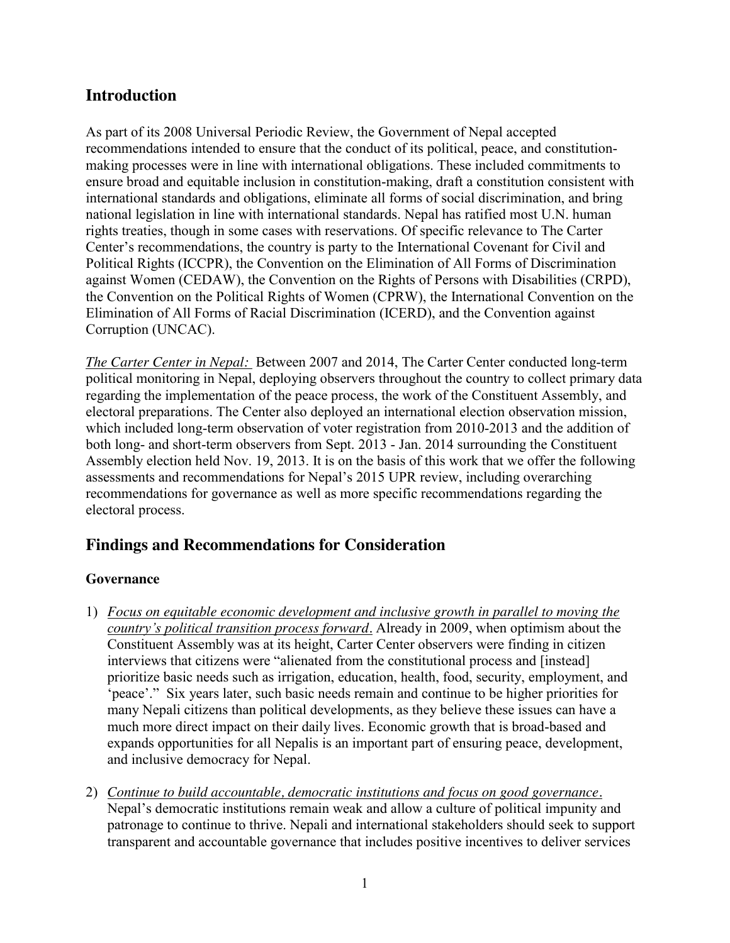## **Introduction**

As part of its 2008 Universal Periodic Review, the Government of Nepal accepted recommendations intended to ensure that the conduct of its political, peace, and constitutionmaking processes were in line with international obligations. These included commitments to ensure broad and equitable inclusion in constitution-making, draft a constitution consistent with international standards and obligations, eliminate all forms of social discrimination, and bring national legislation in line with international standards. Nepal has ratified most U.N. human rights treaties, though in some cases with reservations. Of specific relevance to The Carter Center's recommendations, the country is party to the International Covenant for Civil and Political Rights (ICCPR), the Convention on the Elimination of All Forms of Discrimination against Women (CEDAW), the Convention on the Rights of Persons with Disabilities (CRPD), the Convention on the Political Rights of Women (CPRW), the International Convention on the Elimination of All Forms of Racial Discrimination (ICERD), and the Convention against Corruption (UNCAC).

*The Carter Center in Nepal:* Between 2007 and 2014, The Carter Center conducted long-term political monitoring in Nepal, deploying observers throughout the country to collect primary data regarding the implementation of the peace process, the work of the Constituent Assembly, and electoral preparations. The Center also deployed an international election observation mission, which included long-term observation of voter registration from 2010-2013 and the addition of both long- and short-term observers from Sept. 2013 - Jan. 2014 surrounding the Constituent Assembly election held Nov. 19, 2013. It is on the basis of this work that we offer the following assessments and recommendations for Nepal's 2015 UPR review, including overarching recommendations for governance as well as more specific recommendations regarding the electoral process.

## **Findings and Recommendations for Consideration**

## **Governance**

- 1) *Focus on equitable economic development and inclusive growth in parallel to moving the country's political transition process forward.* Already in 2009, when optimism about the Constituent Assembly was at its height, Carter Center observers were finding in citizen interviews that citizens were "alienated from the constitutional process and [instead] prioritize basic needs such as irrigation, education, health, food, security, employment, and 'peace'." Six years later, such basic needs remain and continue to be higher priorities for many Nepali citizens than political developments, as they believe these issues can have a much more direct impact on their daily lives. Economic growth that is broad-based and expands opportunities for all Nepalis is an important part of ensuring peace, development, and inclusive democracy for Nepal.
- 2) *Continue to build accountable, democratic institutions and focus on good governance.* Nepal's democratic institutions remain weak and allow a culture of political impunity and patronage to continue to thrive. Nepali and international stakeholders should seek to support transparent and accountable governance that includes positive incentives to deliver services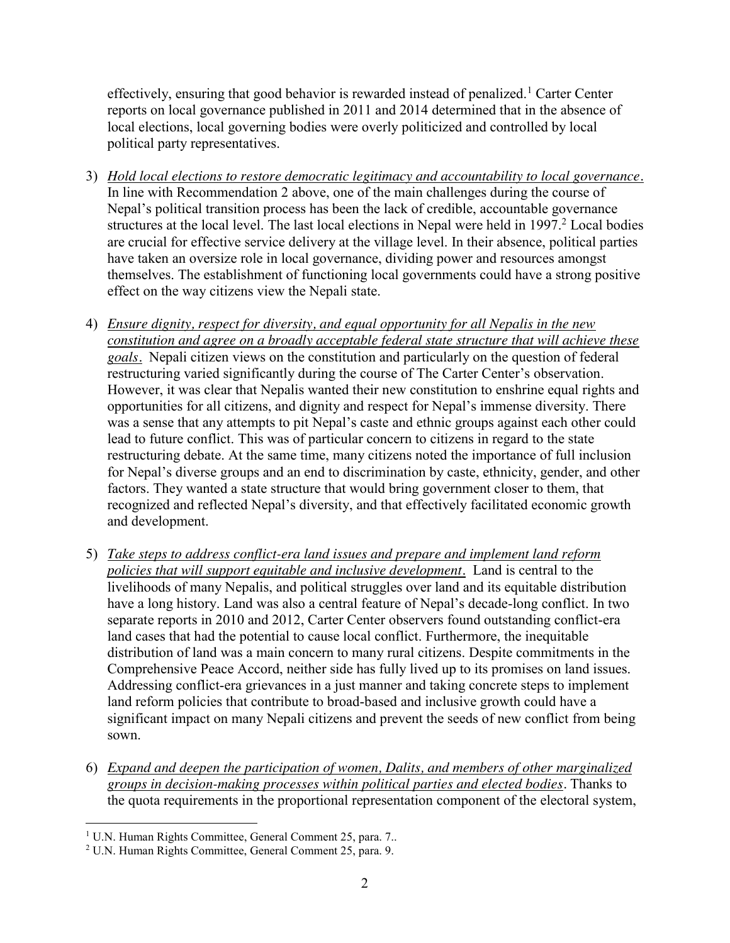effectively, ensuring that good behavior is rewarded instead of penalized.<sup>1</sup> Carter Center reports on local governance published in 2011 and 2014 determined that in the absence of local elections, local governing bodies were overly politicized and controlled by local political party representatives.

- 3) *Hold local elections to restore democratic legitimacy and accountability to local governance.* In line with Recommendation 2 above, one of the main challenges during the course of Nepal's political transition process has been the lack of credible, accountable governance structures at the local level. The last local elections in Nepal were held in 1997.<sup>2</sup> Local bodies are crucial for effective service delivery at the village level. In their absence, political parties have taken an oversize role in local governance, dividing power and resources amongst themselves. The establishment of functioning local governments could have a strong positive effect on the way citizens view the Nepali state.
- 4) *Ensure dignity, respect for diversity, and equal opportunity for all Nepalis in the new constitution and agree on a broadly acceptable federal state structure that will achieve these goals.*Nepali citizen views on the constitution and particularly on the question of federal restructuring varied significantly during the course of The Carter Center's observation. However, it was clear that Nepalis wanted their new constitution to enshrine equal rights and opportunities for all citizens, and dignity and respect for Nepal's immense diversity. There was a sense that any attempts to pit Nepal's caste and ethnic groups against each other could lead to future conflict. This was of particular concern to citizens in regard to the state restructuring debate. At the same time, many citizens noted the importance of full inclusion for Nepal's diverse groups and an end to discrimination by caste, ethnicity, gender, and other factors. They wanted a state structure that would bring government closer to them, that recognized and reflected Nepal's diversity, and that effectively facilitated economic growth and development.
- 5) *Take steps to address conflict-era land issues and prepare and implement land reform policies that will support equitable and inclusive development.* Land is central to the livelihoods of many Nepalis, and political struggles over land and its equitable distribution have a long history. Land was also a central feature of Nepal's decade-long conflict. In two separate reports in 2010 and 2012, Carter Center observers found outstanding conflict-era land cases that had the potential to cause local conflict. Furthermore, the inequitable distribution of land was a main concern to many rural citizens. Despite commitments in the Comprehensive Peace Accord, neither side has fully lived up to its promises on land issues. Addressing conflict-era grievances in a just manner and taking concrete steps to implement land reform policies that contribute to broad-based and inclusive growth could have a significant impact on many Nepali citizens and prevent the seeds of new conflict from being sown.
- 6) *Expand and deepen the participation of women, Dalits, and members of other marginalized groups in decision-making processes within political parties and elected bodies.* Thanks to the quota requirements in the proportional representation component of the electoral system,

 <sup>1</sup> U.N. Human Rights Committee, General Comment 25, para. 7..

<sup>2</sup> U.N. Human Rights Committee, General Comment 25, para. 9.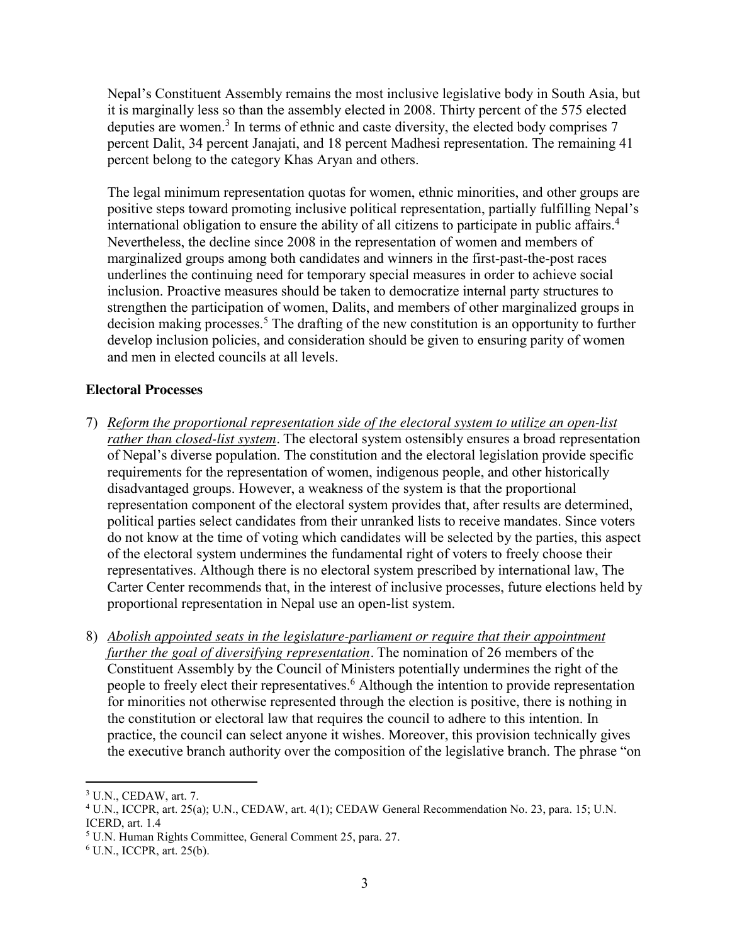Nepal's Constituent Assembly remains the most inclusive legislative body in South Asia, but it is marginally less so than the assembly elected in 2008. Thirty percent of the 575 elected deputies are women.<sup>3</sup> In terms of ethnic and caste diversity, the elected body comprises 7 percent Dalit, 34 percent Janajati, and 18 percent Madhesi representation. The remaining 41 percent belong to the category Khas Aryan and others.

The legal minimum representation quotas for women, ethnic minorities, and other groups are positive steps toward promoting inclusive political representation, partially fulfilling Nepal's international obligation to ensure the ability of all citizens to participate in public affairs.<sup>4</sup> Nevertheless, the decline since 2008 in the representation of women and members of marginalized groups among both candidates and winners in the first-past-the-post races underlines the continuing need for temporary special measures in order to achieve social inclusion. Proactive measures should be taken to democratize internal party structures to strengthen the participation of women, Dalits, and members of other marginalized groups in decision making processes.<sup>5</sup> The drafting of the new constitution is an opportunity to further develop inclusion policies, and consideration should be given to ensuring parity of women and men in elected councils at all levels.

## **Electoral Processes**

- 7) *Reform the proportional representation side of the electoral system to utilize an open-list rather than closed-list system.* The electoral system ostensibly ensures a broad representation of Nepal's diverse population. The constitution and the electoral legislation provide specific requirements for the representation of women, indigenous people, and other historically disadvantaged groups. However, a weakness of the system is that the proportional representation component of the electoral system provides that, after results are determined, political parties select candidates from their unranked lists to receive mandates. Since voters do not know at the time of voting which candidates will be selected by the parties, this aspect of the electoral system undermines the fundamental right of voters to freely choose their representatives. Although there is no electoral system prescribed by international law, The Carter Center recommends that, in the interest of inclusive processes, future elections held by proportional representation in Nepal use an open-list system.
- 8) *Abolish appointed seats in the legislature-parliament or require that their appointment further the goal of diversifying representation.* The nomination of 26 members of the Constituent Assembly by the Council of Ministers potentially undermines the right of the people to freely elect their representatives.<sup>6</sup> Although the intention to provide representation for minorities not otherwise represented through the election is positive, there is nothing in the constitution or electoral law that requires the council to adhere to this intention. In practice, the council can select anyone it wishes. Moreover, this provision technically gives the executive branch authority over the composition of the legislative branch. The phrase "on

 <sup>3</sup> U.N., CEDAW, art. 7.

<sup>4</sup> U.N., ICCPR, art. 25(a); U.N., CEDAW, art. 4(1); CEDAW General Recommendation No. 23, para. 15; U.N. ICERD, art. 1.4

<sup>5</sup> U.N. Human Rights Committee, General Comment 25, para. 27.

 $6$  U.N., ICCPR, art. 25(b).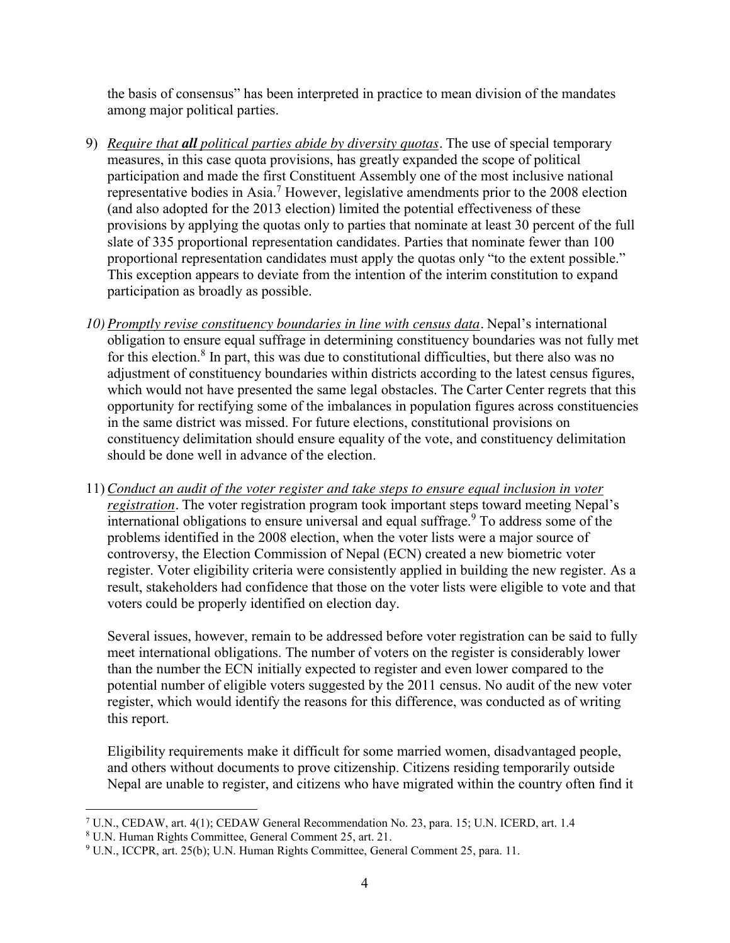the basis of consensus" has been interpreted in practice to mean division of the mandates among major political parties.

- 9) *Require that all political parties abide by diversity quotas.* The use of special temporary measures, in this case quota provisions, has greatly expanded the scope of political participation and made the first Constituent Assembly one of the most inclusive national representative bodies in Asia.<sup>7</sup> However, legislative amendments prior to the 2008 election (and also adopted for the 2013 election) limited the potential effectiveness of these provisions by applying the quotas only to parties that nominate at least 30 percent of the full slate of 335 proportional representation candidates. Parties that nominate fewer than 100 proportional representation candidates must apply the quotas only "to the extent possible." This exception appears to deviate from the intention of the interim constitution to expand participation as broadly as possible.
- *10) Promptly revise constituency boundaries in line with census data.* Nepal's international obligation to ensure equal suffrage in determining constituency boundaries was not fully met for this election.<sup>8</sup> In part, this was due to constitutional difficulties, but there also was no adjustment of constituency boundaries within districts according to the latest census figures, which would not have presented the same legal obstacles. The Carter Center regrets that this opportunity for rectifying some of the imbalances in population figures across constituencies in the same district was missed. For future elections, constitutional provisions on constituency delimitation should ensure equality of the vote, and constituency delimitation should be done well in advance of the election.
- 11) *Conduct an audit of the voter register and take steps to ensure equal inclusion in voter registration.* The voter registration program took important steps toward meeting Nepal's international obligations to ensure universal and equal suffrage.<sup>9</sup> To address some of the problems identified in the 2008 election, when the voter lists were a major source of controversy, the Election Commission of Nepal (ECN) created a new biometric voter register. Voter eligibility criteria were consistently applied in building the new register. As a result, stakeholders had confidence that those on the voter lists were eligible to vote and that voters could be properly identified on election day.

Several issues, however, remain to be addressed before voter registration can be said to fully meet international obligations. The number of voters on the register is considerably lower than the number the ECN initially expected to register and even lower compared to the potential number of eligible voters suggested by the 2011 census. No audit of the new voter register, which would identify the reasons for this difference, was conducted as of writing this report.

Eligibility requirements make it difficult for some married women, disadvantaged people, and others without documents to prove citizenship. Citizens residing temporarily outside Nepal are unable to register, and citizens who have migrated within the country often find it

 <sup>7</sup> U.N., CEDAW, art. 4(1); CEDAW General Recommendation No. 23, para. 15; U.N. ICERD, art. 1.4

<sup>8</sup> U.N. Human Rights Committee, General Comment 25, art. 21.

<sup>9</sup> U.N., ICCPR, art. 25(b); U.N. Human Rights Committee, General Comment 25, para. 11.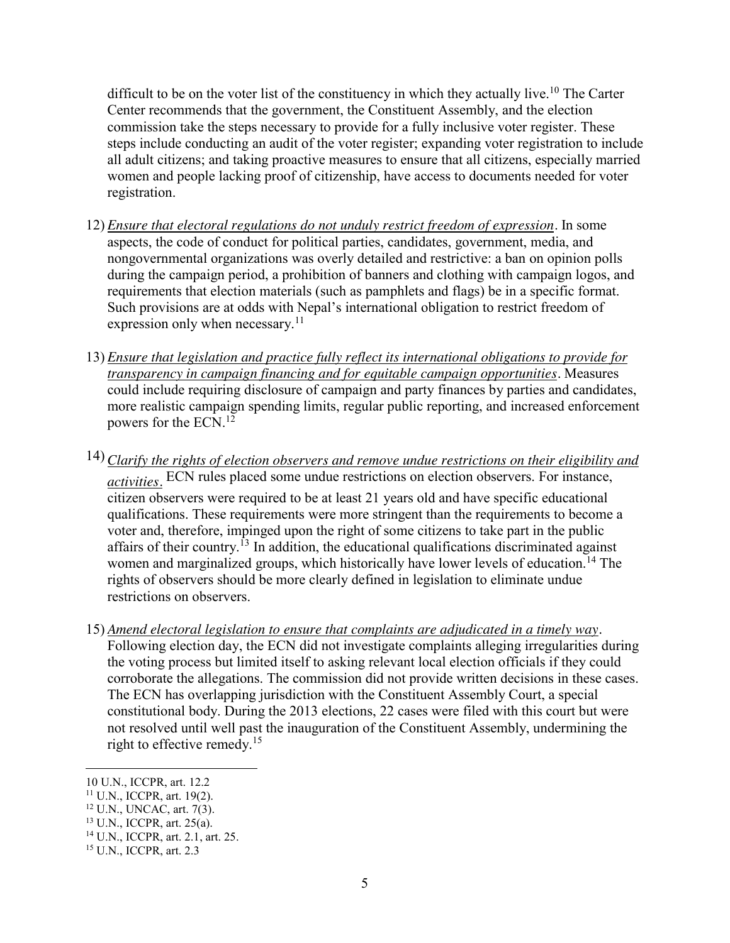difficult to be on the voter list of the constituency in which they actually live.<sup>10</sup> The Carter Center recommends that the government, the Constituent Assembly, and the election commission take the steps necessary to provide for a fully inclusive voter register. These steps include conducting an audit of the voter register; expanding voter registration to include all adult citizens; and taking proactive measures to ensure that all citizens, especially married women and people lacking proof of citizenship, have access to documents needed for voter registration.

- 12) *Ensure that electoral regulations do not unduly restrict freedom of expression.* In some aspects, the code of conduct for political parties, candidates, government, media, and nongovernmental organizations was overly detailed and restrictive: a ban on opinion polls during the campaign period, a prohibition of banners and clothing with campaign logos, and requirements that election materials (such as pamphlets and flags) be in a specific format. Such provisions are at odds with Nepal's international obligation to restrict freedom of expression only when necessary.<sup>11</sup>
- 13) *Ensure that legislation and practice fully reflect its international obligations to provide for transparency in campaign financing and for equitable campaign opportunities.* Measures could include requiring disclosure of campaign and party finances by parties and candidates, more realistic campaign spending limits, regular public reporting, and increased enforcement powers for the ECN.<sup>12</sup>
- 14) *Clarify the rights of election observers and remove undue restrictions on their eligibility and activities.* ECN rules placed some undue restrictions on election observers. For instance, citizen observers were required to be at least 21 years old and have specific educational qualifications. These requirements were more stringent than the requirements to become a voter and, therefore, impinged upon the right of some citizens to take part in the public affairs of their country.<sup>13</sup> In addition, the educational qualifications discriminated against women and marginalized groups, which historically have lower levels of education.<sup>14</sup> The rights of observers should be more clearly defined in legislation to eliminate undue restrictions on observers.
- 15) *Amend electoral legislation to ensure that complaints are adjudicated in a timely way.* Following election day, the ECN did not investigate complaints alleging irregularities during the voting process but limited itself to asking relevant local election officials if they could corroborate the allegations. The commission did not provide written decisions in these cases. The ECN has overlapping jurisdiction with the Constituent Assembly Court, a special constitutional body. During the 2013 elections, 22 cases were filed with this court but were not resolved until well past the inauguration of the Constituent Assembly, undermining the right to effective remedy.<sup>15</sup>

 <sup>10</sup> U.N., ICCPR, art. 12.2

<sup>11</sup> U.N., ICCPR, art. 19(2).

<sup>12</sup> U.N., UNCAC, art. 7(3).

<sup>13</sup> U.N., ICCPR, art. 25(a).

<sup>14</sup> U.N., ICCPR, art. 2.1, art. 25.

<sup>15</sup> U.N., ICCPR, art. 2.3